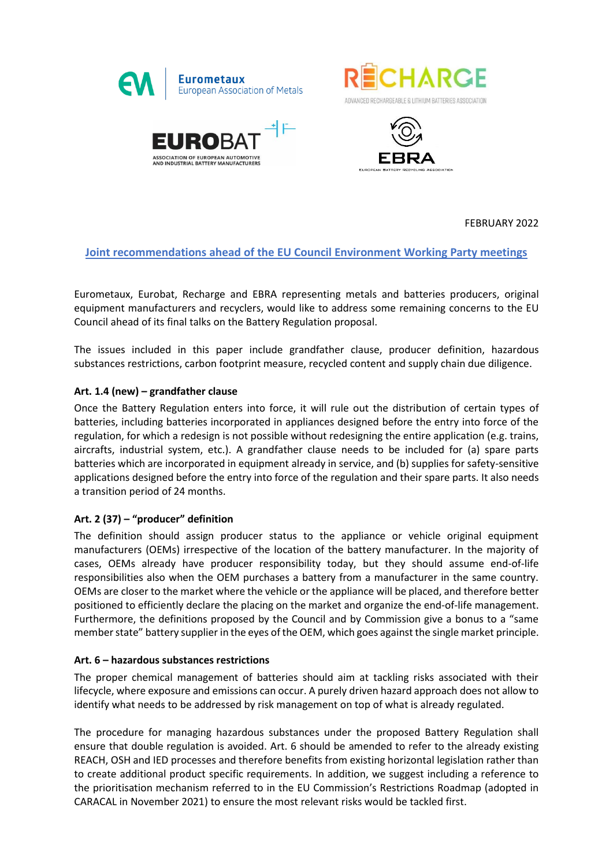





FEBRUARY 2022

# **Joint recommendations ahead of the EU Council Environment Working Party meetings**

Eurometaux, Eurobat, Recharge and EBRA representing metals and batteries producers, original equipment manufacturers and recyclers, would like to address some remaining concerns to the EU Council ahead of its final talks on the Battery Regulation proposal.

The issues included in this paper include grandfather clause, producer definition, hazardous substances restrictions, carbon footprint measure, recycled content and supply chain due diligence.

## **Art. 1.4 (new) – grandfather clause**

Once the Battery Regulation enters into force, it will rule out the distribution of certain types of batteries, including batteries incorporated in appliances designed before the entry into force of the regulation, for which a redesign is not possible without redesigning the entire application (e.g. trains, aircrafts, industrial system, etc.). A grandfather clause needs to be included for (a) spare parts batteries which are incorporated in equipment already in service, and (b) supplies for safety-sensitive applications designed before the entry into force of the regulation and their spare parts. It also needs a transition period of 24 months.

## **Art. 2 (37) – "producer" definition**

The definition should assign producer status to the appliance or vehicle original equipment manufacturers (OEMs) irrespective of the location of the battery manufacturer. In the majority of cases, OEMs already have producer responsibility today, but they should assume end-of-life responsibilities also when the OEM purchases a battery from a manufacturer in the same country. OEMs are closer to the market where the vehicle or the appliance will be placed, and therefore better positioned to efficiently declare the placing on the market and organize the end-of-life management. Furthermore, the definitions proposed by the Council and by Commission give a bonus to a "same member state" battery supplier in the eyes of the OEM, which goes against the single market principle.

#### **Art. 6 – hazardous substances restrictions**

The proper chemical management of batteries should aim at tackling risks associated with their lifecycle, where exposure and emissions can occur. A purely driven hazard approach does not allow to identify what needs to be addressed by risk management on top of what is already regulated.

The procedure for managing hazardous substances under the proposed Battery Regulation shall ensure that double regulation is avoided. Art. 6 should be amended to refer to the already existing REACH, OSH and IED processes and therefore benefits from existing horizontal legislation rather than to create additional product specific requirements. In addition, we suggest including a reference to the prioritisation mechanism referred to in the EU Commission's Restrictions Roadmap (adopted in CARACAL in November 2021) to ensure the most relevant risks would be tackled first.